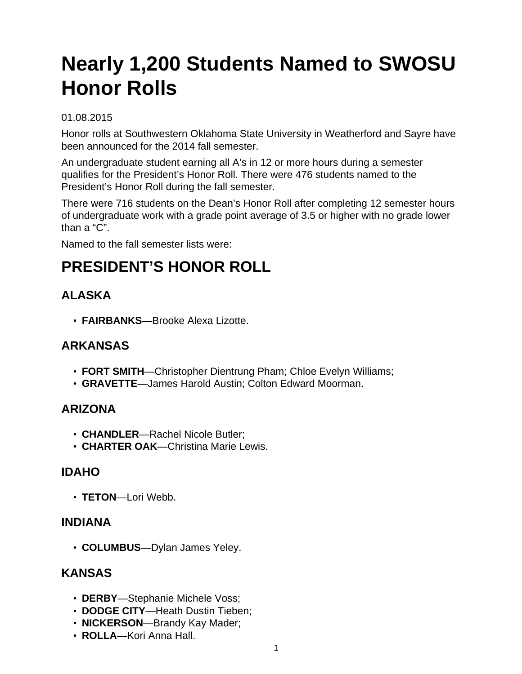# **Nearly 1,200 Students Named to SWOSU Honor Rolls**

#### 01.08.2015

Honor rolls at Southwestern Oklahoma State University in Weatherford and Sayre have been announced for the 2014 fall semester.

An undergraduate student earning all A's in 12 or more hours during a semester qualifies for the President's Honor Roll. There were 476 students named to the President's Honor Roll during the fall semester.

There were 716 students on the Dean's Honor Roll after completing 12 semester hours of undergraduate work with a grade point average of 3.5 or higher with no grade lower than a "C".

Named to the fall semester lists were:

# **PRESIDENT'S HONOR ROLL**

# **ALASKA**

• **FAIRBANKS**—Brooke Alexa Lizotte.

#### **ARKANSAS**

- **FORT SMITH**—Christopher Dientrung Pham; Chloe Evelyn Williams;
- **GRAVETTE**—James Harold Austin; Colton Edward Moorman.

#### **ARIZONA**

- **CHANDLER**—Rachel Nicole Butler;
- **CHARTER OAK**—Christina Marie Lewis.

#### **IDAHO**

• **TETON**—Lori Webb.

#### **INDIANA**

• **COLUMBUS**—Dylan James Yeley.

#### **KANSAS**

- **DERBY**—Stephanie Michele Voss;
- **DODGE CITY**—Heath Dustin Tieben;
- **NICKERSON**—Brandy Kay Mader;
- **ROLLA**—Kori Anna Hall.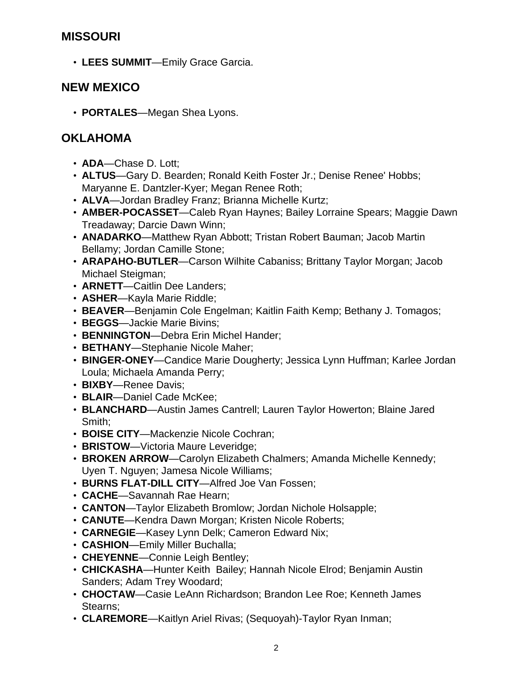#### **MISSOURI**

• **LEES SUMMIT**—Emily Grace Garcia.

#### **NEW MEXICO**

• **PORTALES**—Megan Shea Lyons.

#### **OKLAHOMA**

- **ADA**—Chase D. Lott;
- **ALTUS**—Gary D. Bearden; Ronald Keith Foster Jr.; Denise Renee' Hobbs; Maryanne E. Dantzler-Kyer; Megan Renee Roth;
- **ALVA**—Jordan Bradley Franz; Brianna Michelle Kurtz;
- **AMBER-POCASSET**—Caleb Ryan Haynes; Bailey Lorraine Spears; Maggie Dawn Treadaway; Darcie Dawn Winn;
- **ANADARKO**—Matthew Ryan Abbott; Tristan Robert Bauman; Jacob Martin Bellamy; Jordan Camille Stone;
- **ARAPAHO-BUTLER**—Carson Wilhite Cabaniss; Brittany Taylor Morgan; Jacob Michael Steigman;
- **ARNETT**—Caitlin Dee Landers;
- **ASHER**—Kayla Marie Riddle;
- **BEAVER**—Benjamin Cole Engelman; Kaitlin Faith Kemp; Bethany J. Tomagos;
- **BEGGS**—Jackie Marie Bivins;
- **BENNINGTON**—Debra Erin Michel Hander;
- **BETHANY**—Stephanie Nicole Maher;
- **BINGER-ONEY**—Candice Marie Dougherty; Jessica Lynn Huffman; Karlee Jordan Loula; Michaela Amanda Perry;
- **BIXBY**—Renee Davis;
- **BLAIR**—Daniel Cade McKee;
- **BLANCHARD**—Austin James Cantrell; Lauren Taylor Howerton; Blaine Jared Smith;
- **BOISE CITY**—Mackenzie Nicole Cochran;
- **BRISTOW**—Victoria Maure Leveridge;
- **BROKEN ARROW**—Carolyn Elizabeth Chalmers; Amanda Michelle Kennedy; Uyen T. Nguyen; Jamesa Nicole Williams;
- **BURNS FLAT-DILL CITY**—Alfred Joe Van Fossen;
- **CACHE**—Savannah Rae Hearn;
- **CANTON**—Taylor Elizabeth Bromlow; Jordan Nichole Holsapple;
- **CANUTE**—Kendra Dawn Morgan; Kristen Nicole Roberts;
- **CARNEGIE**—Kasey Lynn Delk; Cameron Edward Nix;
- **CASHION**—Emily Miller Buchalla;
- **CHEYENNE**—Connie Leigh Bentley;
- **CHICKASHA**—Hunter Keith Bailey; Hannah Nicole Elrod; Benjamin Austin Sanders; Adam Trey Woodard;
- **CHOCTAW**—Casie LeAnn Richardson; Brandon Lee Roe; Kenneth James Stearns;
- **CLAREMORE**—Kaitlyn Ariel Rivas; (Sequoyah)-Taylor Ryan Inman;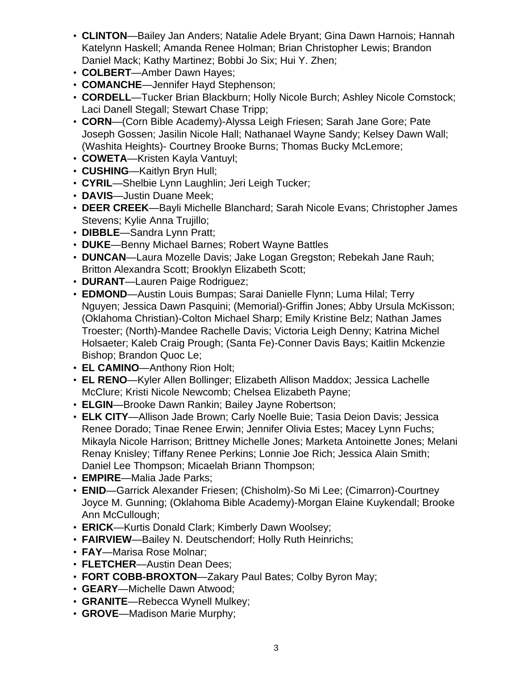- **CLINTON**—Bailey Jan Anders; Natalie Adele Bryant; Gina Dawn Harnois; Hannah Katelynn Haskell; Amanda Renee Holman; Brian Christopher Lewis; Brandon Daniel Mack; Kathy Martinez; Bobbi Jo Six; Hui Y. Zhen;
- **COLBERT**—Amber Dawn Hayes;
- **COMANCHE**—Jennifer Hayd Stephenson;
- **CORDELL**—Tucker Brian Blackburn; Holly Nicole Burch; Ashley Nicole Comstock; Laci Danell Stegall; Stewart Chase Tripp;
- **CORN**—(Corn Bible Academy)-Alyssa Leigh Friesen; Sarah Jane Gore; Pate Joseph Gossen; Jasilin Nicole Hall; Nathanael Wayne Sandy; Kelsey Dawn Wall; (Washita Heights)- Courtney Brooke Burns; Thomas Bucky McLemore;
- **COWETA**—Kristen Kayla Vantuyl;
- **CUSHING**—Kaitlyn Bryn Hull;
- **CYRIL**—Shelbie Lynn Laughlin; Jeri Leigh Tucker;
- **DAVIS**—Justin Duane Meek;
- **DEER CREEK**—Bayli Michelle Blanchard; Sarah Nicole Evans; Christopher James Stevens; Kylie Anna Trujillo;
- **DIBBLE**—Sandra Lynn Pratt;
- **DUKE**—Benny Michael Barnes; Robert Wayne Battles
- **DUNCAN**—Laura Mozelle Davis; Jake Logan Gregston; Rebekah Jane Rauh; Britton Alexandra Scott; Brooklyn Elizabeth Scott;
- **DURANT**—Lauren Paige Rodriguez;
- **EDMOND**—Austin Louis Bumpas; Sarai Danielle Flynn; Luma Hilal; Terry Nguyen; Jessica Dawn Pasquini; (Memorial)-Griffin Jones; Abby Ursula McKisson; (Oklahoma Christian)-Colton Michael Sharp; Emily Kristine Belz; Nathan James Troester; (North)-Mandee Rachelle Davis; Victoria Leigh Denny; Katrina Michel Holsaeter; Kaleb Craig Prough; (Santa Fe)-Conner Davis Bays; Kaitlin Mckenzie Bishop; Brandon Quoc Le;
- **EL CAMINO**—Anthony Rion Holt;
- **EL RENO**—Kyler Allen Bollinger; Elizabeth Allison Maddox; Jessica Lachelle McClure; Kristi Nicole Newcomb; Chelsea Elizabeth Payne;
- **ELGIN**—Brooke Dawn Rankin; Bailey Jayne Robertson;
- **ELK CITY**—Allison Jade Brown; Carly Noelle Buie; Tasia Deion Davis; Jessica Renee Dorado; Tinae Renee Erwin; Jennifer Olivia Estes; Macey Lynn Fuchs; Mikayla Nicole Harrison; Brittney Michelle Jones; Marketa Antoinette Jones; Melani Renay Knisley; Tiffany Renee Perkins; Lonnie Joe Rich; Jessica Alain Smith; Daniel Lee Thompson; Micaelah Briann Thompson;
- **EMPIRE**—Malia Jade Parks;
- **ENID**—Garrick Alexander Friesen; (Chisholm)-So Mi Lee; (Cimarron)-Courtney Joyce M. Gunning; (Oklahoma Bible Academy)-Morgan Elaine Kuykendall; Brooke Ann McCullough;
- **ERICK**—Kurtis Donald Clark; Kimberly Dawn Woolsey;
- **FAIRVIEW**—Bailey N. Deutschendorf; Holly Ruth Heinrichs;
- **FAY**—Marisa Rose Molnar;
- **FLETCHER**—Austin Dean Dees;
- **FORT COBB-BROXTON**—Zakary Paul Bates; Colby Byron May;
- **GEARY**—Michelle Dawn Atwood;
- **GRANITE**—Rebecca Wynell Mulkey;
- **GROVE**—Madison Marie Murphy;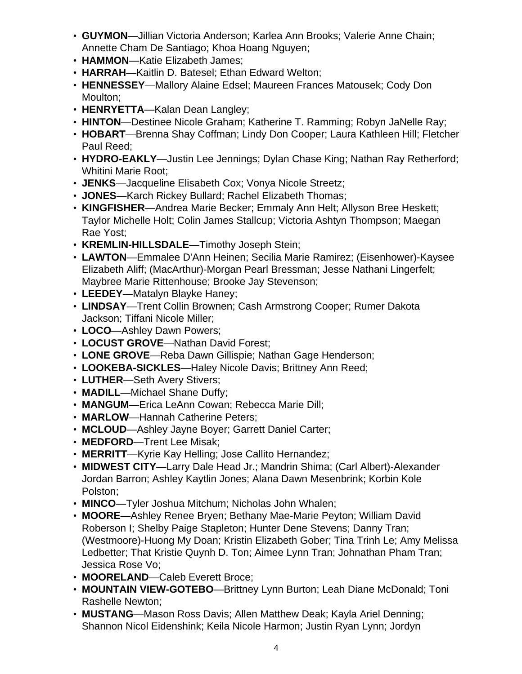- **GUYMON**—Jillian Victoria Anderson; Karlea Ann Brooks; Valerie Anne Chain; Annette Cham De Santiago; Khoa Hoang Nguyen;
- **HAMMON**—Katie Elizabeth James;
- **HARRAH**—Kaitlin D. Batesel; Ethan Edward Welton;
- **HENNESSEY**—Mallory Alaine Edsel; Maureen Frances Matousek; Cody Don Moulton;
- **HENRYETTA**—Kalan Dean Langley;
- **HINTON**—Destinee Nicole Graham; Katherine T. Ramming; Robyn JaNelle Ray;
- **HOBART**—Brenna Shay Coffman; Lindy Don Cooper; Laura Kathleen Hill; Fletcher Paul Reed;
- **HYDRO-EAKLY**—Justin Lee Jennings; Dylan Chase King; Nathan Ray Retherford; Whitini Marie Root;
- **JENKS**—Jacqueline Elisabeth Cox; Vonya Nicole Streetz;
- **JONES**—Karch Rickey Bullard; Rachel Elizabeth Thomas;
- **KINGFISHER**—Andrea Marie Becker; Emmaly Ann Helt; Allyson Bree Heskett; Taylor Michelle Holt; Colin James Stallcup; Victoria Ashtyn Thompson; Maegan Rae Yost;
- **KREMLIN-HILLSDALE**—Timothy Joseph Stein;
- **LAWTON**—Emmalee D'Ann Heinen; Secilia Marie Ramirez; (Eisenhower)-Kaysee Elizabeth Aliff; (MacArthur)-Morgan Pearl Bressman; Jesse Nathani Lingerfelt; Maybree Marie Rittenhouse; Brooke Jay Stevenson;
- **LEEDEY**—Matalyn Blayke Haney;
- **LINDSAY**—Trent Collin Brownen; Cash Armstrong Cooper; Rumer Dakota Jackson; Tiffani Nicole Miller;
- **LOCO**—Ashley Dawn Powers;
- **LOCUST GROVE**—Nathan David Forest;
- **LONE GROVE**—Reba Dawn Gillispie; Nathan Gage Henderson;
- **LOOKEBA-SICKLES**—Haley Nicole Davis; Brittney Ann Reed;
- **LUTHER**—Seth Avery Stivers;
- **MADILL**—Michael Shane Duffy;
- **MANGUM**—Erica LeAnn Cowan; Rebecca Marie Dill;
- **MARLOW**—Hannah Catherine Peters;
- **MCLOUD**—Ashley Jayne Boyer; Garrett Daniel Carter;
- **MEDFORD**—Trent Lee Misak;
- **MERRITT**—Kyrie Kay Helling; Jose Callito Hernandez;
- **MIDWEST CITY**—Larry Dale Head Jr.; Mandrin Shima; (Carl Albert)-Alexander Jordan Barron; Ashley Kaytlin Jones; Alana Dawn Mesenbrink; Korbin Kole Polston;
- **MINCO**—Tyler Joshua Mitchum; Nicholas John Whalen;
- **MOORE**—Ashley Renee Bryen; Bethany Mae-Marie Peyton; William David Roberson I; Shelby Paige Stapleton; Hunter Dene Stevens; Danny Tran; (Westmoore)-Huong My Doan; Kristin Elizabeth Gober; Tina Trinh Le; Amy Melissa Ledbetter; That Kristie Quynh D. Ton; Aimee Lynn Tran; Johnathan Pham Tran; Jessica Rose Vo;
- **MOORELAND**—Caleb Everett Broce;
- **MOUNTAIN VIEW-GOTEBO**—Brittney Lynn Burton; Leah Diane McDonald; Toni Rashelle Newton;
- **MUSTANG**—Mason Ross Davis; Allen Matthew Deak; Kayla Ariel Denning; Shannon Nicol Eidenshink; Keila Nicole Harmon; Justin Ryan Lynn; Jordyn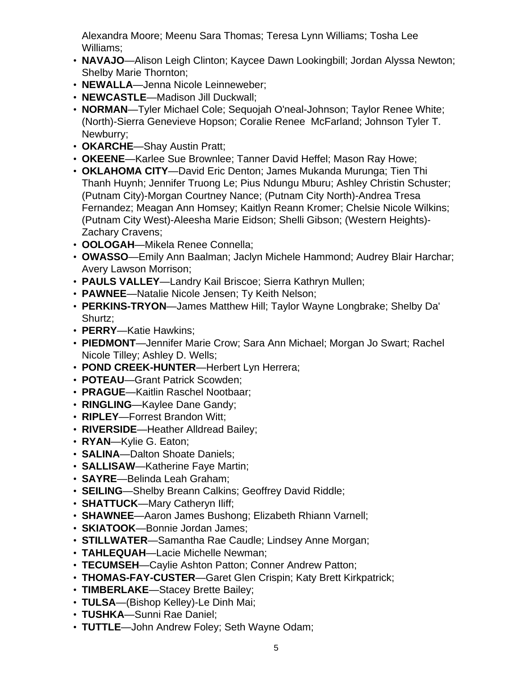Alexandra Moore; Meenu Sara Thomas; Teresa Lynn Williams; Tosha Lee Williams;

- **NAVAJO**—Alison Leigh Clinton; Kaycee Dawn Lookingbill; Jordan Alyssa Newton; Shelby Marie Thornton;
- **NEWALLA**—Jenna Nicole Leinneweber;
- **NEWCASTLE**—Madison Jill Duckwall;
- **NORMAN**—Tyler Michael Cole; Sequojah O'neal-Johnson; Taylor Renee White; (North)-Sierra Genevieve Hopson; Coralie Renee McFarland; Johnson Tyler T. Newburry;
- **OKARCHE**—Shay Austin Pratt;
- **OKEENE**—Karlee Sue Brownlee; Tanner David Heffel; Mason Ray Howe;
- **OKLAHOMA CITY**—David Eric Denton; James Mukanda Murunga; Tien Thi Thanh Huynh; Jennifer Truong Le; Pius Ndungu Mburu; Ashley Christin Schuster; (Putnam City)-Morgan Courtney Nance; (Putnam City North)-Andrea Tresa Fernandez; Meagan Ann Homsey; Kaitlyn Reann Kromer; Chelsie Nicole Wilkins; (Putnam City West)-Aleesha Marie Eidson; Shelli Gibson; (Western Heights)- Zachary Cravens;
- **OOLOGAH**—Mikela Renee Connella;
- **OWASSO**—Emily Ann Baalman; Jaclyn Michele Hammond; Audrey Blair Harchar; Avery Lawson Morrison;
- **PAULS VALLEY**—Landry Kail Briscoe; Sierra Kathryn Mullen;
- **PAWNEE**—Natalie Nicole Jensen; Ty Keith Nelson;
- **PERKINS-TRYON**—James Matthew Hill; Taylor Wayne Longbrake; Shelby Da' Shurtz;
- **PERRY**—Katie Hawkins;
- **PIEDMONT**—Jennifer Marie Crow; Sara Ann Michael; Morgan Jo Swart; Rachel Nicole Tilley; Ashley D. Wells;
- **POND CREEK-HUNTER**—Herbert Lyn Herrera;
- **POTEAU**—Grant Patrick Scowden;
- **PRAGUE**—Kaitlin Raschel Nootbaar;
- **RINGLING**—Kaylee Dane Gandy;
- **RIPLEY**—Forrest Brandon Witt;
- **RIVERSIDE**—Heather Alldread Bailey;
- **RYAN**—Kylie G. Eaton;
- **SALINA**—Dalton Shoate Daniels;
- **SALLISAW**—Katherine Faye Martin;
- **SAYRE**—Belinda Leah Graham;
- **SEILING**—Shelby Breann Calkins; Geoffrey David Riddle;
- **SHATTUCK**—Mary Catheryn Iliff;
- **SHAWNEE**—Aaron James Bushong; Elizabeth Rhiann Varnell;
- **SKIATOOK**—Bonnie Jordan James;
- **STILLWATER**—Samantha Rae Caudle; Lindsey Anne Morgan;
- **TAHLEQUAH**—Lacie Michelle Newman;
- **TECUMSEH**—Caylie Ashton Patton; Conner Andrew Patton;
- **THOMAS-FAY-CUSTER**—Garet Glen Crispin; Katy Brett Kirkpatrick;
- **TIMBERLAKE**—Stacey Brette Bailey;
- **TULSA**—(Bishop Kelley)-Le Dinh Mai;
- **TUSHKA**—Sunni Rae Daniel;
- **TUTTLE**—John Andrew Foley; Seth Wayne Odam;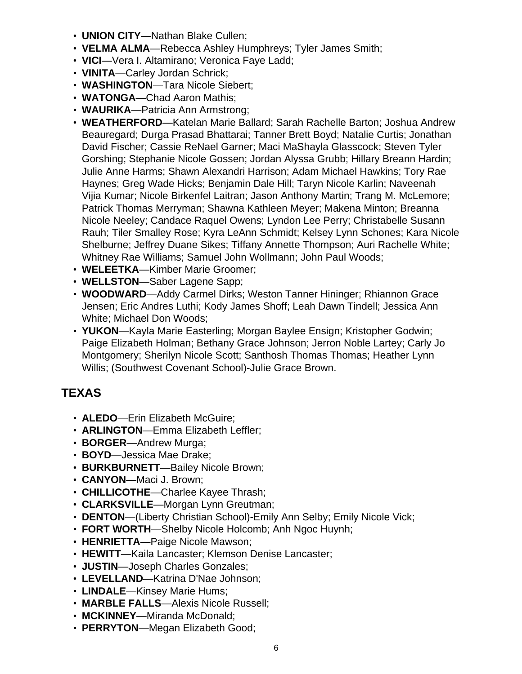- **UNION CITY**—Nathan Blake Cullen;
- **VELMA ALMA**—Rebecca Ashley Humphreys; Tyler James Smith;
- **VICI**—Vera I. Altamirano; Veronica Faye Ladd;
- **VINITA**—Carley Jordan Schrick;
- **WASHINGTON**—Tara Nicole Siebert;
- **WATONGA**—Chad Aaron Mathis;
- **WAURIKA**—Patricia Ann Armstrong;
- **WEATHERFORD**—Katelan Marie Ballard; Sarah Rachelle Barton; Joshua Andrew Beauregard; Durga Prasad Bhattarai; Tanner Brett Boyd; Natalie Curtis; Jonathan David Fischer; Cassie ReNael Garner; Maci MaShayla Glasscock; Steven Tyler Gorshing; Stephanie Nicole Gossen; Jordan Alyssa Grubb; Hillary Breann Hardin; Julie Anne Harms; Shawn Alexandri Harrison; Adam Michael Hawkins; Tory Rae Haynes; Greg Wade Hicks; Benjamin Dale Hill; Taryn Nicole Karlin; Naveenah Vijia Kumar; Nicole Birkenfel Laitran; Jason Anthony Martin; Trang M. McLemore; Patrick Thomas Merryman; Shawna Kathleen Meyer; Makena Minton; Breanna Nicole Neeley; Candace Raquel Owens; Lyndon Lee Perry; Christabelle Susann Rauh; Tiler Smalley Rose; Kyra LeAnn Schmidt; Kelsey Lynn Schones; Kara Nicole Shelburne; Jeffrey Duane Sikes; Tiffany Annette Thompson; Auri Rachelle White; Whitney Rae Williams; Samuel John Wollmann; John Paul Woods;
- **WELEETKA**—Kimber Marie Groomer;
- **WELLSTON**—Saber Lagene Sapp;
- **WOODWARD**—Addy Carmel Dirks; Weston Tanner Hininger; Rhiannon Grace Jensen; Eric Andres Luthi; Kody James Shoff; Leah Dawn Tindell; Jessica Ann White; Michael Don Woods;
- **YUKON**—Kayla Marie Easterling; Morgan Baylee Ensign; Kristopher Godwin; Paige Elizabeth Holman; Bethany Grace Johnson; Jerron Noble Lartey; Carly Jo Montgomery; Sherilyn Nicole Scott; Santhosh Thomas Thomas; Heather Lynn Willis; (Southwest Covenant School)-Julie Grace Brown.

# **TEXAS**

- **ALEDO**—Erin Elizabeth McGuire;
- **ARLINGTON**—Emma Elizabeth Leffler;
- **BORGER**—Andrew Murga;
- **BOYD**—Jessica Mae Drake;
- **BURKBURNETT**—Bailey Nicole Brown;
- **CANYON**—Maci J. Brown;
- **CHILLICOTHE**—Charlee Kayee Thrash;
- **CLARKSVILLE**—Morgan Lynn Greutman;
- **DENTON**—(Liberty Christian School)-Emily Ann Selby; Emily Nicole Vick;
- **FORT WORTH**—Shelby Nicole Holcomb; Anh Ngoc Huynh;
- **HENRIETTA**—Paige Nicole Mawson;
- **HEWITT**—Kaila Lancaster; Klemson Denise Lancaster;
- **JUSTIN**—Joseph Charles Gonzales;
- **LEVELLAND**—Katrina D'Nae Johnson;
- **LINDALE**—Kinsey Marie Hums;
- **MARBLE FALLS**—Alexis Nicole Russell;
- **MCKINNEY**—Miranda McDonald;
- **PERRYTON**—Megan Elizabeth Good;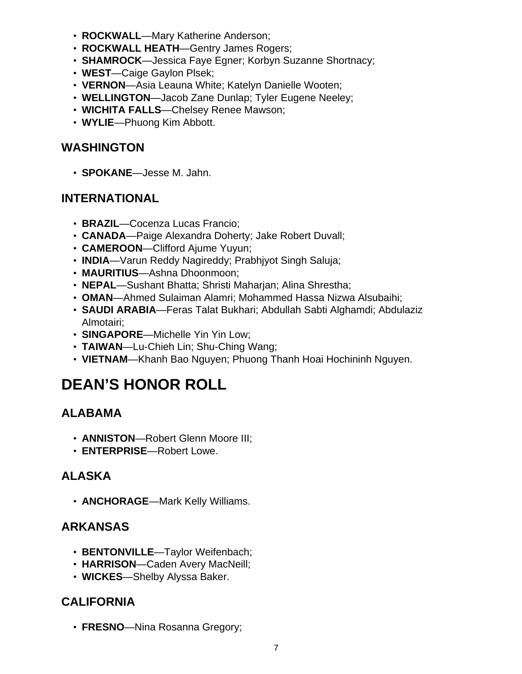- **ROCKWALL**—Mary Katherine Anderson;
- **ROCKWALL HEATH**—Gentry James Rogers;
- **SHAMROCK**—Jessica Faye Egner; Korbyn Suzanne Shortnacy;
- **WEST**—Caige Gaylon Plsek;
- **VERNON**—Asia Leauna White; Katelyn Danielle Wooten;
- **WELLINGTON**—Jacob Zane Dunlap; Tyler Eugene Neeley;
- **WICHITA FALLS**—Chelsey Renee Mawson;
- **WYLIE**—Phuong Kim Abbott.

#### **WASHINGTON**

• **SPOKANE**—Jesse M. Jahn.

#### **INTERNATIONAL**

- **BRAZIL**—Cocenza Lucas Francio;
- **CANADA**—Paige Alexandra Doherty; Jake Robert Duvall;
- **CAMEROON**—Clifford Ajume Yuyun;
- **INDIA**—Varun Reddy Nagireddy; Prabhjyot Singh Saluja;
- **MAURITIUS**—Ashna Dhoonmoon;
- **NEPAL**—Sushant Bhatta; Shristi Maharjan; Alina Shrestha;
- **OMAN**—Ahmed Sulaiman Alamri; Mohammed Hassa Nizwa Alsubaihi;
- **SAUDI ARABIA**—Feras Talat Bukhari; Abdullah Sabti Alghamdi; Abdulaziz Almotairi;
- **SINGAPORE**—Michelle Yin Yin Low;
- **TAIWAN**—Lu-Chieh Lin; Shu-Ching Wang;
- **VIETNAM**—Khanh Bao Nguyen; Phuong Thanh Hoai Hochininh Nguyen.

# **DEAN'S HONOR ROLL**

# **ALABAMA**

- **ANNISTON**—Robert Glenn Moore III;
- **ENTERPRISE**—Robert Lowe.

# **ALASKA**

• **ANCHORAGE**—Mark Kelly Williams.

#### **ARKANSAS**

- **BENTONVILLE**—Taylor Weifenbach;
- **HARRISON**—Caden Avery MacNeill;
- **WICKES**—Shelby Alyssa Baker.

#### **CALIFORNIA**

• **FRESNO**—Nina Rosanna Gregory;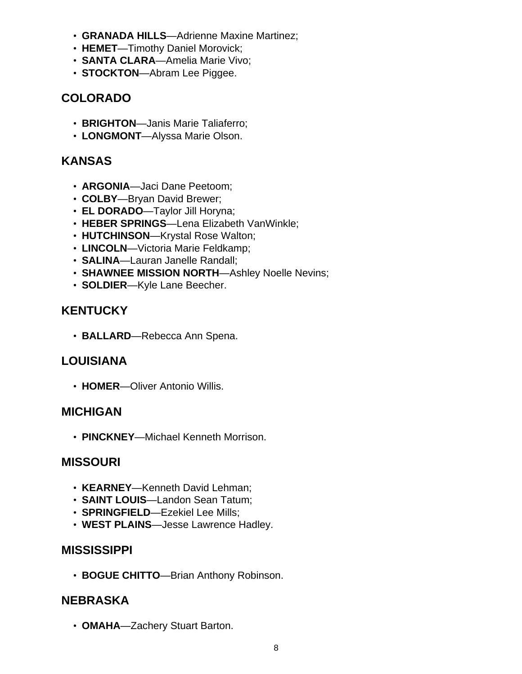- **GRANADA HILLS**—Adrienne Maxine Martinez;
- **HEMET**—Timothy Daniel Morovick;
- **SANTA CLARA**—Amelia Marie Vivo;
- **STOCKTON**—Abram Lee Piggee.

### **COLORADO**

- **BRIGHTON**—Janis Marie Taliaferro;
- **LONGMONT**—Alyssa Marie Olson.

#### **KANSAS**

- **ARGONIA**—Jaci Dane Peetoom;
- **COLBY**—Bryan David Brewer;
- **EL DORADO**—Taylor Jill Horyna;
- **HEBER SPRINGS**—Lena Elizabeth VanWinkle;
- **HUTCHINSON**—Krystal Rose Walton;
- **LINCOLN**—Victoria Marie Feldkamp;
- **SALINA**—Lauran Janelle Randall;
- **SHAWNEE MISSION NORTH**—Ashley Noelle Nevins;
- **SOLDIER**—Kyle Lane Beecher.

#### **KENTUCKY**

• **BALLARD**—Rebecca Ann Spena.

#### **LOUISIANA**

• **HOMER**—Oliver Antonio Willis.

#### **MICHIGAN**

• **PINCKNEY**—Michael Kenneth Morrison.

#### **MISSOURI**

- **KEARNEY**—Kenneth David Lehman;
- **SAINT LOUIS**—Landon Sean Tatum;
- **SPRINGFIELD**—Ezekiel Lee Mills;
- **WEST PLAINS**—Jesse Lawrence Hadley.

#### **MISSISSIPPI**

• **BOGUE CHITTO**—Brian Anthony Robinson.

#### **NEBRASKA**

• **OMAHA**—Zachery Stuart Barton.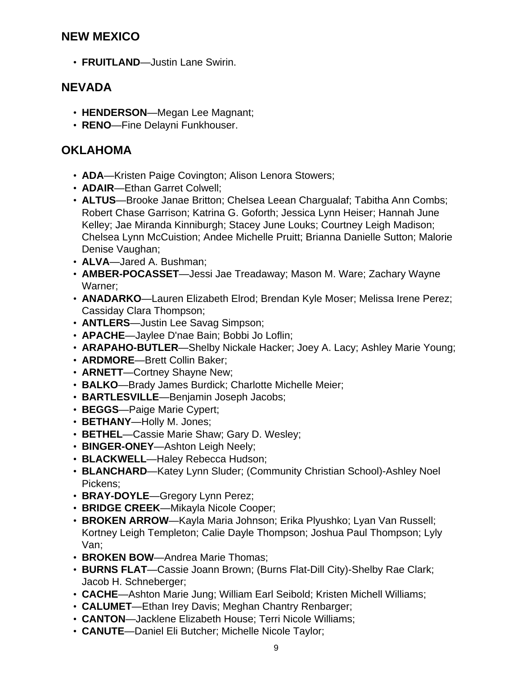#### **NEW MEXICO**

• **FRUITLAND**—Justin Lane Swirin.

#### **NEVADA**

- **HENDERSON**—Megan Lee Magnant;
- **RENO**—Fine Delayni Funkhouser.

#### **OKLAHOMA**

- **ADA**—Kristen Paige Covington; Alison Lenora Stowers;
- **ADAIR**—Ethan Garret Colwell;
- **ALTUS**—Brooke Janae Britton; Chelsea Leean Chargualaf; Tabitha Ann Combs; Robert Chase Garrison; Katrina G. Goforth; Jessica Lynn Heiser; Hannah June Kelley; Jae Miranda Kinniburgh; Stacey June Louks; Courtney Leigh Madison; Chelsea Lynn McCuistion; Andee Michelle Pruitt; Brianna Danielle Sutton; Malorie Denise Vaughan;
- **ALVA**—Jared A. Bushman;
- **AMBER-POCASSET**—Jessi Jae Treadaway; Mason M. Ware; Zachary Wayne Warner;
- **ANADARKO**—Lauren Elizabeth Elrod; Brendan Kyle Moser; Melissa Irene Perez; Cassiday Clara Thompson;
- **ANTLERS**—Justin Lee Savag Simpson;
- **APACHE**—Jaylee D'nae Bain; Bobbi Jo Loflin;
- **ARAPAHO-BUTLER**—Shelby Nickale Hacker; Joey A. Lacy; Ashley Marie Young;
- **ARDMORE**—Brett Collin Baker;
- **ARNETT**—Cortney Shayne New;
- **BALKO**—Brady James Burdick; Charlotte Michelle Meier;
- **BARTLESVILLE**—Benjamin Joseph Jacobs;
- **BEGGS**—Paige Marie Cypert;
- **BETHANY**—Holly M. Jones;
- **BETHEL**—Cassie Marie Shaw; Gary D. Wesley;
- **BINGER-ONEY**—Ashton Leigh Neely;
- **BLACKWELL**—Haley Rebecca Hudson;
- **BLANCHARD**—Katey Lynn Sluder; (Community Christian School)-Ashley Noel Pickens;
- **BRAY-DOYLE**—Gregory Lynn Perez;
- **BRIDGE CREEK**—Mikayla Nicole Cooper;
- **BROKEN ARROW**—Kayla Maria Johnson; Erika Plyushko; Lyan Van Russell; Kortney Leigh Templeton; Calie Dayle Thompson; Joshua Paul Thompson; Lyly Van;
- **BROKEN BOW**—Andrea Marie Thomas;
- **BURNS FLAT**—Cassie Joann Brown; (Burns Flat-Dill City)-Shelby Rae Clark; Jacob H. Schneberger;
- **CACHE**—Ashton Marie Jung; William Earl Seibold; Kristen Michell Williams;
- **CALUMET**—Ethan Irey Davis; Meghan Chantry Renbarger;
- **CANTON**—Jacklene Elizabeth House; Terri Nicole Williams;
- **CANUTE**—Daniel Eli Butcher; Michelle Nicole Taylor;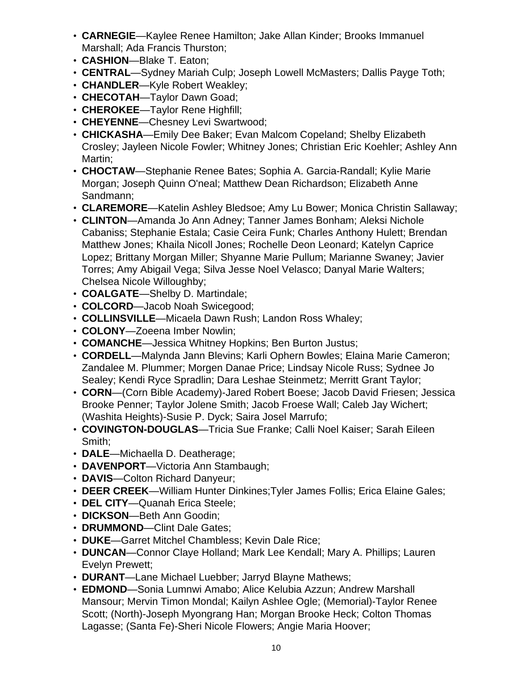- **CARNEGIE**—Kaylee Renee Hamilton; Jake Allan Kinder; Brooks Immanuel Marshall; Ada Francis Thurston;
- **CASHION**—Blake T. Eaton;
- **CENTRAL**—Sydney Mariah Culp; Joseph Lowell McMasters; Dallis Payge Toth;
- **CHANDLER**—Kyle Robert Weakley;
- **CHECOTAH**—Taylor Dawn Goad;
- **CHEROKEE**—Taylor Rene Highfill;
- **CHEYENNE**—Chesney Levi Swartwood;
- **CHICKASHA**—Emily Dee Baker; Evan Malcom Copeland; Shelby Elizabeth Crosley; Jayleen Nicole Fowler; Whitney Jones; Christian Eric Koehler; Ashley Ann Martin;
- **CHOCTAW**—Stephanie Renee Bates; Sophia A. Garcia-Randall; Kylie Marie Morgan; Joseph Quinn O'neal; Matthew Dean Richardson; Elizabeth Anne Sandmann;
- **CLAREMORE**—Katelin Ashley Bledsoe; Amy Lu Bower; Monica Christin Sallaway;
- **CLINTON**—Amanda Jo Ann Adney; Tanner James Bonham; Aleksi Nichole Cabaniss; Stephanie Estala; Casie Ceira Funk; Charles Anthony Hulett; Brendan Matthew Jones; Khaila Nicoll Jones; Rochelle Deon Leonard; Katelyn Caprice Lopez; Brittany Morgan Miller; Shyanne Marie Pullum; Marianne Swaney; Javier Torres; Amy Abigail Vega; Silva Jesse Noel Velasco; Danyal Marie Walters; Chelsea Nicole Willoughby;
- **COALGATE**—Shelby D. Martindale;
- **COLCORD**—Jacob Noah Swicegood;
- **COLLINSVILLE**—Micaela Dawn Rush; Landon Ross Whaley;
- **COLONY**—Zoeena Imber Nowlin;
- **COMANCHE**—Jessica Whitney Hopkins; Ben Burton Justus;
- **CORDELL**—Malynda Jann Blevins; Karli Ophern Bowles; Elaina Marie Cameron; Zandalee M. Plummer; Morgen Danae Price; Lindsay Nicole Russ; Sydnee Jo Sealey; Kendi Ryce Spradlin; Dara Leshae Steinmetz; Merritt Grant Taylor;
- **CORN**—(Corn Bible Academy)-Jared Robert Boese; Jacob David Friesen; Jessica Brooke Penner; Taylor Jolene Smith; Jacob Froese Wall; Caleb Jay Wichert; (Washita Heights)-Susie P. Dyck; Saira Josel Marrufo;
- **COVINGTON-DOUGLAS**—Tricia Sue Franke; Calli Noel Kaiser; Sarah Eileen Smith;
- **DALE**—Michaella D. Deatherage;
- **DAVENPORT**—Victoria Ann Stambaugh;
- **DAVIS**—Colton Richard Danyeur;
- **DEER CREEK**—William Hunter Dinkines;Tyler James Follis; Erica Elaine Gales;
- **DEL CITY**—Quanah Erica Steele;
- **DICKSON**—Beth Ann Goodin;
- **DRUMMOND**—Clint Dale Gates;
- **DUKE**—Garret Mitchel Chambless; Kevin Dale Rice;
- **DUNCAN**—Connor Claye Holland; Mark Lee Kendall; Mary A. Phillips; Lauren Evelyn Prewett;
- **DURANT**—Lane Michael Luebber; Jarryd Blayne Mathews;
- **EDMOND**—Sonia Lumnwi Amabo; Alice Kelubia Azzun; Andrew Marshall Mansour; Mervin Timon Mondal; Kailyn Ashlee Ogle; (Memorial)-Taylor Renee Scott; (North)-Joseph Myongrang Han; Morgan Brooke Heck; Colton Thomas Lagasse; (Santa Fe)-Sheri Nicole Flowers; Angie Maria Hoover;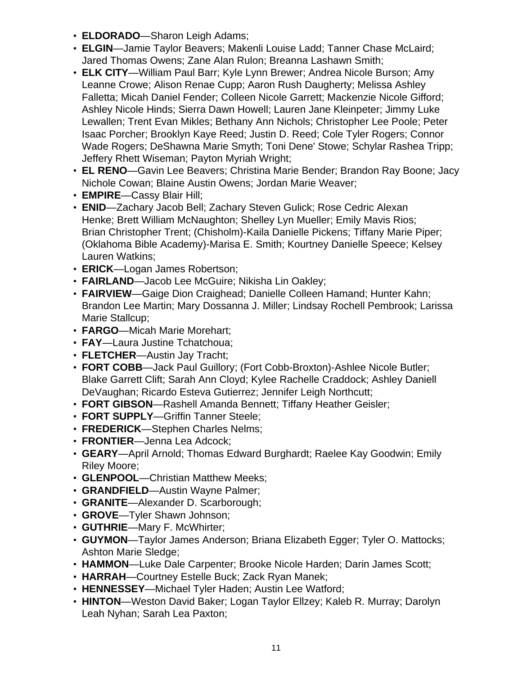- **ELDORADO**—Sharon Leigh Adams;
- **ELGIN**—Jamie Taylor Beavers; Makenli Louise Ladd; Tanner Chase McLaird; Jared Thomas Owens; Zane Alan Rulon; Breanna Lashawn Smith;
- **ELK CITY**—William Paul Barr; Kyle Lynn Brewer; Andrea Nicole Burson; Amy Leanne Crowe; Alison Renae Cupp; Aaron Rush Daugherty; Melissa Ashley Falletta; Micah Daniel Fender; Colleen Nicole Garrett; Mackenzie Nicole Gifford; Ashley Nicole Hinds; Sierra Dawn Howell; Lauren Jane Kleinpeter; Jimmy Luke Lewallen; Trent Evan Mikles; Bethany Ann Nichols; Christopher Lee Poole; Peter Isaac Porcher; Brooklyn Kaye Reed; Justin D. Reed; Cole Tyler Rogers; Connor Wade Rogers; DeShawna Marie Smyth; Toni Dene' Stowe; Schylar Rashea Tripp; Jeffery Rhett Wiseman; Payton Myriah Wright;
- **EL RENO**—Gavin Lee Beavers; Christina Marie Bender; Brandon Ray Boone; Jacy Nichole Cowan; Blaine Austin Owens; Jordan Marie Weaver;
- **EMPIRE**—Cassy Blair Hill;
- **ENID**—Zachary Jacob Bell; Zachary Steven Gulick; Rose Cedric Alexan Henke; Brett William McNaughton; Shelley Lyn Mueller; Emily Mavis Rios; Brian Christopher Trent; (Chisholm)-Kaila Danielle Pickens; Tiffany Marie Piper; (Oklahoma Bible Academy)-Marisa E. Smith; Kourtney Danielle Speece; Kelsey Lauren Watkins;
- **ERICK**—Logan James Robertson;
- **FAIRLAND**—Jacob Lee McGuire; Nikisha Lin Oakley;
- **FAIRVIEW**—Gaige Dion Craighead; Danielle Colleen Hamand; Hunter Kahn; Brandon Lee Martin; Mary Dossanna J. Miller; Lindsay Rochell Pembrook; Larissa Marie Stallcup;
- **FARGO**—Micah Marie Morehart;
- **FAY**—Laura Justine Tchatchoua;
- **FLETCHER**—Austin Jay Tracht;
- **FORT COBB**—Jack Paul Guillory; (Fort Cobb-Broxton)-Ashlee Nicole Butler; Blake Garrett Clift; Sarah Ann Cloyd; Kylee Rachelle Craddock; Ashley Daniell DeVaughan; Ricardo Esteva Gutierrez; Jennifer Leigh Northcutt;
- **FORT GIBSON**—Rashell Amanda Bennett; Tiffany Heather Geisler;
- **FORT SUPPLY**—Griffin Tanner Steele;
- **FREDERICK**—Stephen Charles Nelms;
- **FRONTIER**—Jenna Lea Adcock;
- **GEARY**—April Arnold; Thomas Edward Burghardt; Raelee Kay Goodwin; Emily Riley Moore;
- **GLENPOOL**—Christian Matthew Meeks;
- **GRANDFIELD**—Austin Wayne Palmer;
- **GRANITE**—Alexander D. Scarborough;
- **GROVE**—Tyler Shawn Johnson;
- **GUTHRIE**—Mary F. McWhirter;
- **GUYMON**—Taylor James Anderson; Briana Elizabeth Egger; Tyler O. Mattocks; Ashton Marie Sledge;
- **HAMMON**—Luke Dale Carpenter; Brooke Nicole Harden; Darin James Scott;
- **HARRAH**—Courtney Estelle Buck; Zack Ryan Manek;
- **HENNESSEY**—Michael Tyler Haden; Austin Lee Watford;
- **HINTON**—Weston David Baker; Logan Taylor Ellzey; Kaleb R. Murray; Darolyn Leah Nyhan; Sarah Lea Paxton;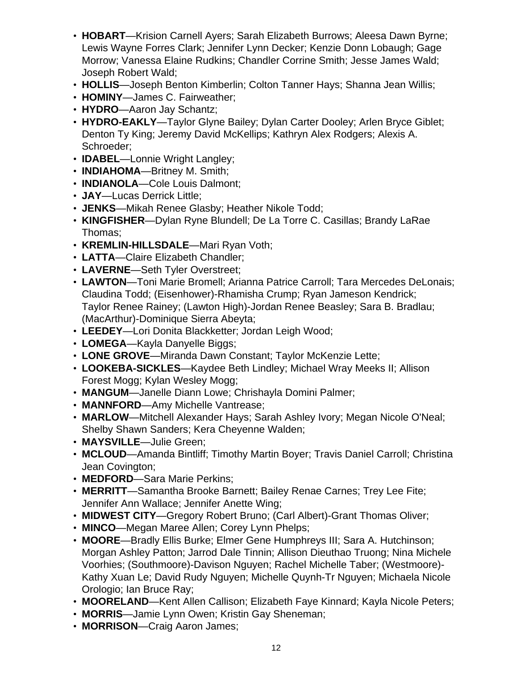- **HOBART**—Krision Carnell Ayers; Sarah Elizabeth Burrows; Aleesa Dawn Byrne; Lewis Wayne Forres Clark; Jennifer Lynn Decker; Kenzie Donn Lobaugh; Gage Morrow; Vanessa Elaine Rudkins; Chandler Corrine Smith; Jesse James Wald; Joseph Robert Wald;
- **HOLLIS**—Joseph Benton Kimberlin; Colton Tanner Hays; Shanna Jean Willis;
- **HOMINY**—James C. Fairweather;
- **HYDRO**—Aaron Jay Schantz;
- **HYDRO-EAKLY**—Taylor Glyne Bailey; Dylan Carter Dooley; Arlen Bryce Giblet; Denton Ty King; Jeremy David McKellips; Kathryn Alex Rodgers; Alexis A. Schroeder;
- **IDABEL**—Lonnie Wright Langley;
- **INDIAHOMA**—Britney M. Smith;
- **INDIANOLA**—Cole Louis Dalmont;
- **JAY**—Lucas Derrick Little;
- **JENKS**—Mikah Renee Glasby; Heather Nikole Todd;
- **KINGFISHER**—Dylan Ryne Blundell; De La Torre C. Casillas; Brandy LaRae Thomas;
- **KREMLIN-HILLSDALE**—Mari Ryan Voth;
- **LATTA**—Claire Elizabeth Chandler;
- **LAVERNE**—Seth Tyler Overstreet;
- **LAWTON**—Toni Marie Bromell; Arianna Patrice Carroll; Tara Mercedes DeLonais; Claudina Todd; (Eisenhower)-Rhamisha Crump; Ryan Jameson Kendrick; Taylor Renee Rainey; (Lawton High)-Jordan Renee Beasley; Sara B. Bradlau; (MacArthur)-Dominique Sierra Abeyta;
- **LEEDEY**—Lori Donita Blackketter; Jordan Leigh Wood;
- **LOMEGA**—Kayla Danyelle Biggs;
- **LONE GROVE**—Miranda Dawn Constant; Taylor McKenzie Lette;
- **LOOKEBA-SICKLES**—Kaydee Beth Lindley; Michael Wray Meeks II; Allison Forest Mogg; Kylan Wesley Mogg;
- **MANGUM**—Janelle Diann Lowe; Chrishayla Domini Palmer;
- **MANNFORD**—Amy Michelle Vantrease;
- **MARLOW**—Mitchell Alexander Hays; Sarah Ashley Ivory; Megan Nicole O'Neal; Shelby Shawn Sanders; Kera Cheyenne Walden;
- **MAYSVILLE**—Julie Green;
- **MCLOUD**—Amanda Bintliff; Timothy Martin Boyer; Travis Daniel Carroll; Christina Jean Covington;
- **MEDFORD**—Sara Marie Perkins;
- **MERRITT**—Samantha Brooke Barnett; Bailey Renae Carnes; Trey Lee Fite; Jennifer Ann Wallace; Jennifer Anette Wing;
- **MIDWEST CITY**—Gregory Robert Bruno; (Carl Albert)-Grant Thomas Oliver;
- **MINCO**—Megan Maree Allen; Corey Lynn Phelps;
- **MOORE**—Bradly Ellis Burke; Elmer Gene Humphreys III; Sara A. Hutchinson; Morgan Ashley Patton; Jarrod Dale Tinnin; Allison Dieuthao Truong; Nina Michele Voorhies; (Southmoore)-Davison Nguyen; Rachel Michelle Taber; (Westmoore)- Kathy Xuan Le; David Rudy Nguyen; Michelle Quynh-Tr Nguyen; Michaela Nicole Orologio; Ian Bruce Ray;
- **MOORELAND**—Kent Allen Callison; Elizabeth Faye Kinnard; Kayla Nicole Peters;
- **MORRIS**—Jamie Lynn Owen; Kristin Gay Sheneman;
- **MORRISON**—Craig Aaron James;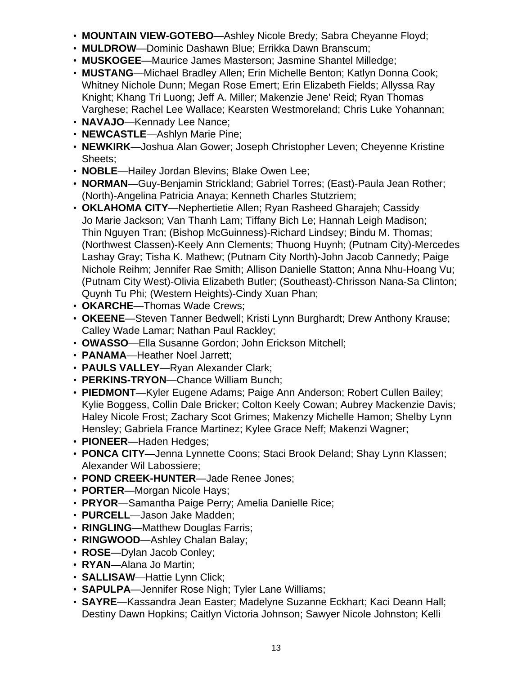- **MOUNTAIN VIEW-GOTEBO**—Ashley Nicole Bredy; Sabra Cheyanne Floyd;
- **MULDROW**—Dominic Dashawn Blue; Errikka Dawn Branscum;
- **MUSKOGEE**—Maurice James Masterson; Jasmine Shantel Milledge;
- **MUSTANG**—Michael Bradley Allen; Erin Michelle Benton; Katlyn Donna Cook; Whitney Nichole Dunn; Megan Rose Emert; Erin Elizabeth Fields; Allyssa Ray Knight; Khang Tri Luong; Jeff A. Miller; Makenzie Jene' Reid; Ryan Thomas Varghese; Rachel Lee Wallace; Kearsten Westmoreland; Chris Luke Yohannan;
- **NAVAJO**—Kennady Lee Nance;
- **NEWCASTLE**—Ashlyn Marie Pine;
- **NEWKIRK**—Joshua Alan Gower; Joseph Christopher Leven; Cheyenne Kristine Sheets;
- **NOBLE**—Hailey Jordan Blevins; Blake Owen Lee;
- **NORMAN**—Guy-Benjamin Strickland; Gabriel Torres; (East)-Paula Jean Rother; (North)-Angelina Patricia Anaya; Kenneth Charles Stutzriem;
- **OKLAHOMA CITY**—Nephertietie Allen; Ryan Rasheed Gharajeh; Cassidy Jo Marie Jackson; Van Thanh Lam; Tiffany Bich Le; Hannah Leigh Madison; Thin Nguyen Tran; (Bishop McGuinness)-Richard Lindsey; Bindu M. Thomas; (Northwest Classen)-Keely Ann Clements; Thuong Huynh; (Putnam City)-Mercedes Lashay Gray; Tisha K. Mathew; (Putnam City North)-John Jacob Cannedy; Paige Nichole Reihm; Jennifer Rae Smith; Allison Danielle Statton; Anna Nhu-Hoang Vu; (Putnam City West)-Olivia Elizabeth Butler; (Southeast)-Chrisson Nana-Sa Clinton; Quynh Tu Phi; (Western Heights)-Cindy Xuan Phan;
- **OKARCHE**—Thomas Wade Crews;
- **OKEENE**—Steven Tanner Bedwell; Kristi Lynn Burghardt; Drew Anthony Krause; Calley Wade Lamar; Nathan Paul Rackley;
- **OWASSO**—Ella Susanne Gordon; John Erickson Mitchell;
- **PANAMA**—Heather Noel Jarrett;
- **PAULS VALLEY**—Ryan Alexander Clark;
- **PERKINS-TRYON**—Chance William Bunch;
- **PIEDMONT**—Kyler Eugene Adams; Paige Ann Anderson; Robert Cullen Bailey; Kylie Boggess, Collin Dale Bricker; Colton Keely Cowan; Aubrey Mackenzie Davis; Haley Nicole Frost; Zachary Scot Grimes; Makenzy Michelle Hamon; Shelby Lynn Hensley; Gabriela France Martinez; Kylee Grace Neff; Makenzi Wagner;
- **PIONEER**—Haden Hedges;
- **PONCA CITY**—Jenna Lynnette Coons; Staci Brook Deland; Shay Lynn Klassen; Alexander Wil Labossiere;
- **POND CREEK-HUNTER**—Jade Renee Jones;
- **PORTER**—Morgan Nicole Hays;
- **PRYOR**—Samantha Paige Perry; Amelia Danielle Rice;
- **PURCELL**—Jason Jake Madden;
- **RINGLING**—Matthew Douglas Farris;
- **RINGWOOD**—Ashley Chalan Balay;
- **ROSE**—Dylan Jacob Conley;
- **RYAN**—Alana Jo Martin;
- **SALLISAW**—Hattie Lynn Click;
- **SAPULPA**—Jennifer Rose Nigh; Tyler Lane Williams;
- **SAYRE**—Kassandra Jean Easter; Madelyne Suzanne Eckhart; Kaci Deann Hall; Destiny Dawn Hopkins; Caitlyn Victoria Johnson; Sawyer Nicole Johnston; Kelli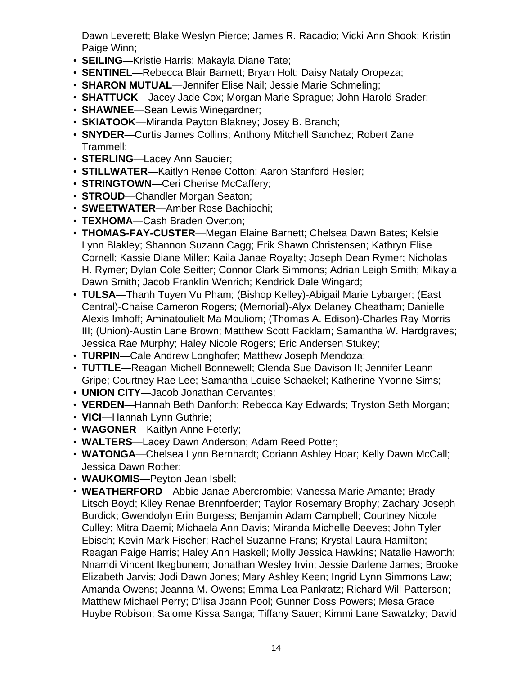Dawn Leverett; Blake Weslyn Pierce; James R. Racadio; Vicki Ann Shook; Kristin Paige Winn:

- **SEILING**—Kristie Harris; Makayla Diane Tate;
- **SENTINEL**—Rebecca Blair Barnett; Bryan Holt; Daisy Nataly Oropeza;
- **SHARON MUTUAL**—Jennifer Elise Nail; Jessie Marie Schmeling;
- **SHATTUCK**—Jacey Jade Cox; Morgan Marie Sprague; John Harold Srader;
- **SHAWNEE**—Sean Lewis Winegardner;
- **SKIATOOK**—Miranda Payton Blakney; Josey B. Branch;
- **SNYDER**—Curtis James Collins; Anthony Mitchell Sanchez; Robert Zane Trammell;
- **STERLING**—Lacey Ann Saucier;
- **STILLWATER**—Kaitlyn Renee Cotton; Aaron Stanford Hesler;
- **STRINGTOWN**—Ceri Cherise McCaffery;
- **STROUD**—Chandler Morgan Seaton;
- **SWEETWATER**—Amber Rose Bachiochi;
- **TEXHOMA**—Cash Braden Overton;
- **THOMAS-FAY-CUSTER**—Megan Elaine Barnett; Chelsea Dawn Bates; Kelsie Lynn Blakley; Shannon Suzann Cagg; Erik Shawn Christensen; Kathryn Elise Cornell; Kassie Diane Miller; Kaila Janae Royalty; Joseph Dean Rymer; Nicholas H. Rymer; Dylan Cole Seitter; Connor Clark Simmons; Adrian Leigh Smith; Mikayla Dawn Smith; Jacob Franklin Wenrich; Kendrick Dale Wingard;
- **TULSA**—Thanh Tuyen Vu Pham; (Bishop Kelley)-Abigail Marie Lybarger; (East Central)-Chaise Cameron Rogers; (Memorial)-Alyx Delaney Cheatham; Danielle Alexis Imhoff; Aminatoulielt Ma Mouliom; (Thomas A. Edison)-Charles Ray Morris III; (Union)-Austin Lane Brown; Matthew Scott Facklam; Samantha W. Hardgraves; Jessica Rae Murphy; Haley Nicole Rogers; Eric Andersen Stukey;
- **TURPIN**—Cale Andrew Longhofer; Matthew Joseph Mendoza;
- **TUTTLE**—Reagan Michell Bonnewell; Glenda Sue Davison II; Jennifer Leann Gripe; Courtney Rae Lee; Samantha Louise Schaekel; Katherine Yvonne Sims;
- **UNION CITY**—Jacob Jonathan Cervantes;
- **VERDEN**—Hannah Beth Danforth; Rebecca Kay Edwards; Tryston Seth Morgan;
- **VICI**—Hannah Lynn Guthrie;
- **WAGONER**—Kaitlyn Anne Feterly;
- **WALTERS**—Lacey Dawn Anderson; Adam Reed Potter;
- **WATONGA**—Chelsea Lynn Bernhardt; Coriann Ashley Hoar; Kelly Dawn McCall; Jessica Dawn Rother;
- **WAUKOMIS**—Peyton Jean Isbell;
- **WEATHERFORD**—Abbie Janae Abercrombie; Vanessa Marie Amante; Brady Litsch Boyd; Kiley Renae Brennfoerder; Taylor Rosemary Brophy; Zachary Joseph Burdick; Gwendolyn Erin Burgess; Benjamin Adam Campbell; Courtney Nicole Culley; Mitra Daemi; Michaela Ann Davis; Miranda Michelle Deeves; John Tyler Ebisch; Kevin Mark Fischer; Rachel Suzanne Frans; Krystal Laura Hamilton; Reagan Paige Harris; Haley Ann Haskell; Molly Jessica Hawkins; Natalie Haworth; Nnamdi Vincent Ikegbunem; Jonathan Wesley Irvin; Jessie Darlene James; Brooke Elizabeth Jarvis; Jodi Dawn Jones; Mary Ashley Keen; Ingrid Lynn Simmons Law; Amanda Owens; Jeanna M. Owens; Emma Lea Pankratz; Richard Will Patterson; Matthew Michael Perry; D'lisa Joann Pool; Gunner Doss Powers; Mesa Grace Huybe Robison; Salome Kissa Sanga; Tiffany Sauer; Kimmi Lane Sawatzky; David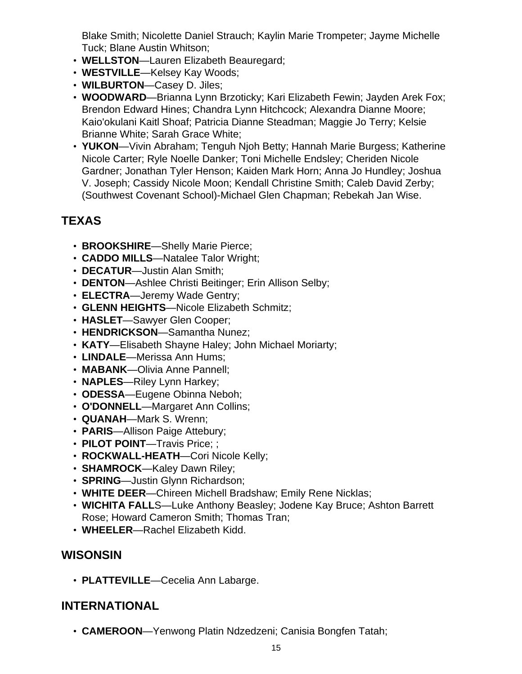Blake Smith; Nicolette Daniel Strauch; Kaylin Marie Trompeter; Jayme Michelle Tuck; Blane Austin Whitson;

- **WELLSTON**—Lauren Elizabeth Beauregard;
- **WESTVILLE**—Kelsey Kay Woods;
- **WILBURTON**—Casey D. Jiles;
- **WOODWARD**—Brianna Lynn Brzoticky; Kari Elizabeth Fewin; Jayden Arek Fox; Brendon Edward Hines; Chandra Lynn Hitchcock; Alexandra Dianne Moore; Kaio'okulani Kaitl Shoaf; Patricia Dianne Steadman; Maggie Jo Terry; Kelsie Brianne White; Sarah Grace White;
- **YUKON**—Vivin Abraham; Tenguh Njoh Betty; Hannah Marie Burgess; Katherine Nicole Carter; Ryle Noelle Danker; Toni Michelle Endsley; Cheriden Nicole Gardner; Jonathan Tyler Henson; Kaiden Mark Horn; Anna Jo Hundley; Joshua V. Joseph; Cassidy Nicole Moon; Kendall Christine Smith; Caleb David Zerby; (Southwest Covenant School)-Michael Glen Chapman; Rebekah Jan Wise.

# **TEXAS**

- **BROOKSHIRE**—Shelly Marie Pierce;
- **CADDO MILLS**—Natalee Talor Wright;
- **DECATUR**—Justin Alan Smith;
- **DENTON**—Ashlee Christi Beitinger; Erin Allison Selby;
- **ELECTRA**—Jeremy Wade Gentry;
- **GLENN HEIGHTS**—Nicole Elizabeth Schmitz;
- **HASLET**—Sawyer Glen Cooper;
- **HENDRICKSON**—Samantha Nunez;
- **KATY**—Elisabeth Shayne Haley; John Michael Moriarty;
- **LINDALE**—Merissa Ann Hums;
- **MABANK**—Olivia Anne Pannell;
- **NAPLES**—Riley Lynn Harkey;
- **ODESSA**—Eugene Obinna Neboh;
- **O'DONNELL**—Margaret Ann Collins;
- **QUANAH**—Mark S. Wrenn;
- **PARIS**—Allison Paige Attebury;
- **PILOT POINT**—Travis Price; ;
- **ROCKWALL-HEATH**—Cori Nicole Kelly;
- **SHAMROCK**—Kaley Dawn Riley;
- **SPRING**—Justin Glynn Richardson;
- **WHITE DEER**—Chireen Michell Bradshaw; Emily Rene Nicklas;
- **WICHITA FALL**S—Luke Anthony Beasley; Jodene Kay Bruce; Ashton Barrett Rose; Howard Cameron Smith; Thomas Tran;
- **WHEELER**—Rachel Elizabeth Kidd.

#### **WISONSIN**

• **PLATTEVILLE**—Cecelia Ann Labarge.

#### **INTERNATIONAL**

• **CAMEROON**—Yenwong Platin Ndzedzeni; Canisia Bongfen Tatah;